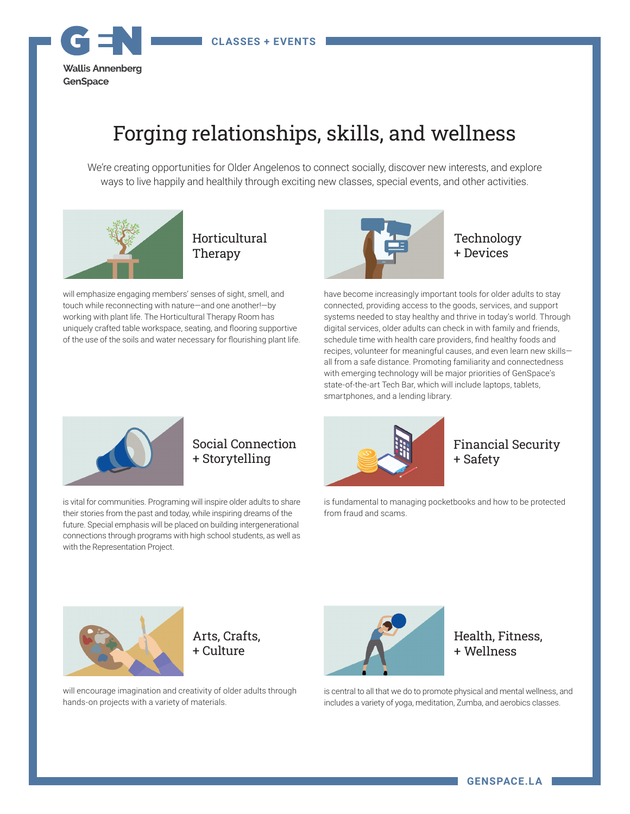

# Forging relationships, skills, and wellness

We're creating opportunities for Older Angelenos to connect socially, discover new interests, and explore ways to live happily and healthily through exciting new classes, special events, and other activities.



will emphasize engaging members' senses of sight, smell, and touch while reconnecting with nature—and one another!—by working with plant life. The Horticultural Therapy Room has uniquely crafted table workspace, seating, and flooring supportive

of the use of the soils and water necessary for flourishing plant life.



Technology + Devices

have become increasingly important tools for older adults to stay connected, providing access to the goods, services, and support systems needed to stay healthy and thrive in today's world. Through digital services, older adults can check in with family and friends, schedule time with health care providers, find healthy foods and recipes, volunteer for meaningful causes, and even learn new skills all from a safe distance. Promoting familiarity and connectedness with emerging technology will be major priorities of GenSpace's state-of-the-art Tech Bar, which will include laptops, tablets, smartphones, and a lending library.



# Social Connection + Storytelling

is vital for communities. Programing will inspire older adults to share their stories from the past and today, while inspiring dreams of the future. Special emphasis will be placed on building intergenerational connections through programs with high school students, as well as with the Representation Project.



## Financial Security + Safety

is fundamental to managing pocketbooks and how to be protected from fraud and scams.





will encourage imagination and creativity of older adults through hands-on projects with a variety of materials.



Health, Fitness, + Wellness

is central to all that we do to promote physical and mental wellness, and includes a variety of yoga, meditation, Zumba, and aerobics classes.